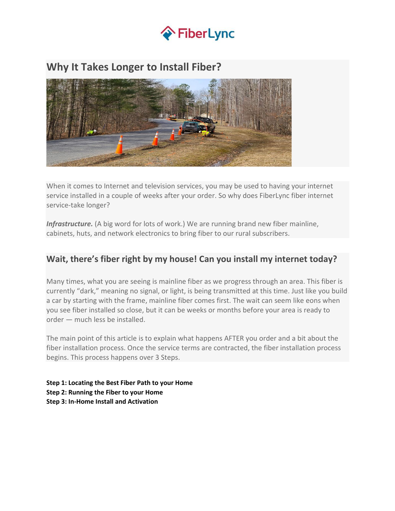

# **Why It Takes Longer to Install Fiber?**



When it comes to Internet and television services, you may be used to having your internet service installed in a couple of weeks after your order. So why does FiberLync fiber internet service-take longer?

*Infrastructure.* (A big word for lots of work.) We are running brand new fiber mainline, cabinets, huts, and network electronics to bring fiber to our rural subscribers.

### **Wait, there's fiber right by my house! Can you install my internet today?**

Many times, what you are seeing is mainline fiber as we progress through an area. This fiber is currently "dark," meaning no signal, or light, is being transmitted at this time. Just like you build a car by starting with the frame, mainline fiber comes first. The wait can seem like eons when you see fiber installed so close, but it can be weeks or months before your area is ready to order — much less be installed.

The main point of this article is to explain what happens AFTER you order and a bit about the fiber installation process. Once the service terms are contracted, the fiber installation process begins. This process happens over 3 Steps.

**Step 1: Locating the Best Fiber Path to your Home Step 2: Running the Fiber to your Home Step 3: In-Home Install and Activation**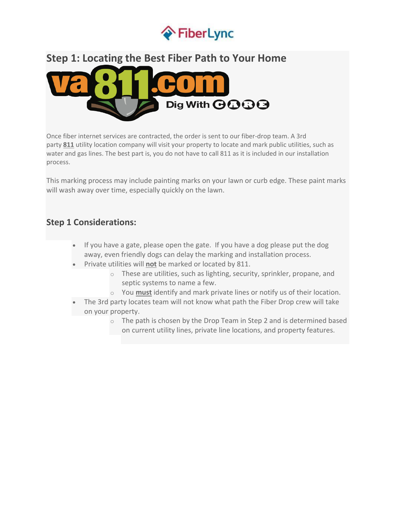

# **Step 1: Locating the Best Fiber Path to Your Home**



Once fiber internet services are contracted, the order is sent to our fiber-drop team. A 3rd party **811** utility location company will visit your property to locate and mark public utilities, such as water and gas lines. The best part is, you do not have to call 811 as it is included in our installation process.

This marking process may include painting marks on your lawn or curb edge. These paint marks will wash away over time, especially quickly on the lawn.

### **Step 1 Considerations:**

- If you have a gate, please open the gate. If you have a dog please put the dog away, even friendly dogs can delay the marking and installation process.
- Private utilities will **not** be marked or located by 811.
	- o These are utilities, such as lighting, security, sprinkler, propane, and septic systems to name a few.
	- o You **must** identify and mark private lines or notify us of their location.
- The 3rd party locates team will not know what path the Fiber Drop crew will take on your property.
	- o The path is chosen by the Drop Team in Step 2 and is determined based on current utility lines, private line locations, and property features.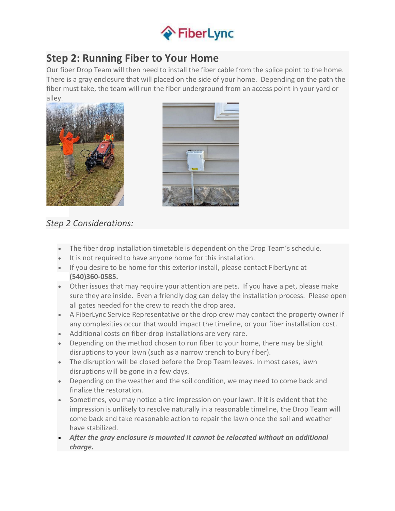

# **Step 2: Running Fiber to Your Home**

Our fiber Drop Team will then need to install the fiber cable from the splice point to the home. There is a gray enclosure that will placed on the side of your home. Depending on the path the fiber must take, the team will run the fiber underground from an access point in your yard or alley.





### *Step 2 Considerations:*

- The fiber drop installation timetable is dependent on the Drop Team's schedule.
- It is not required to have anyone home for this installation.
- If you desire to be home for this exterior install, please contact FiberLync at **(540)360-0585.**
- Other issues that may require your attention are pets. If you have a pet, please make sure they are inside. Even a friendly dog can delay the installation process. Please open all gates needed for the crew to reach the drop area.
- A FiberLync Service Representative or the drop crew may contact the property owner if any complexities occur that would impact the timeline, or your fiber installation cost.
- Additional costs on fiber-drop installations are very rare.
- Depending on the method chosen to run fiber to your home, there may be slight disruptions to your lawn (such as a narrow trench to bury fiber).
- The disruption will be closed before the Drop Team leaves. In most cases, lawn disruptions will be gone in a few days.
- Depending on the weather and the soil condition, we may need to come back and finalize the restoration.
- Sometimes, you may notice a tire impression on your lawn. If it is evident that the impression is unlikely to resolve naturally in a reasonable timeline, the Drop Team will come back and take reasonable action to repair the lawn once the soil and weather have stabilized.
- *After the gray enclosure is mounted it cannot be relocated without an additional charge.*